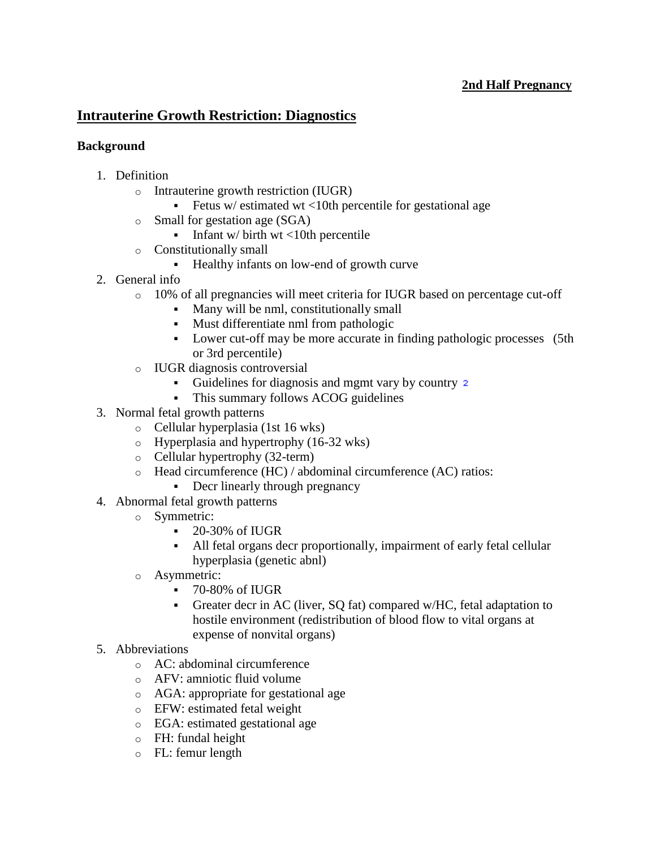## **[2nd Half Pregnancy](http://www.pepidonline.com/content/content.aspx?url=obstetrics.htm#sh)**

# **Intrauterine Growth Restriction: Diagnostics**

### **Background**

- 1. Definition
	- o Intrauterine growth restriction (IUGR)
		- Fetus w/ estimated wt  $\lt 10$ th percentile for gestational age
	- o Small for gestation age (SGA)
		- Infant w/ birth wt  $\lt 10$ th percentile
	- o Constitutionally small
		- Healthy infants on low-end of growth curve
- 2. General info
	- o 10% of all pregnancies will meet criteria for IUGR based on percentage cut-off
		- Many will be nml, constitutionally small
		- Must differentiate nml from pathologic
		- Lower cut-off may be more accurate in finding pathologic processes (5th or 3rd percentile)
	- o IUGR diagnosis controversial
		- Guidelines for diagnosis and mgmt vary by country 2
		- This summary follows ACOG guidelines
- 3. Normal fetal growth patterns
	- o Cellular hyperplasia (1st 16 wks)
	- o Hyperplasia and hypertrophy (16-32 wks)
	- o Cellular hypertrophy (32-term)
	- o Head circumference (HC) / abdominal circumference (AC) ratios:
		- Decr linearly through pregnancy
- 4. Abnormal fetal growth patterns
	- o Symmetric:
		- 20-30% of IUGR
		- All fetal organs decr proportionally, impairment of early fetal cellular hyperplasia (genetic abnl)
	- o Asymmetric:
		- 70-80% of IUGR
		- Greater decr in AC (liver, SQ fat) compared w/HC, fetal adaptation to hostile environment (redistribution of blood flow to vital organs at expense of nonvital organs)
- 5. Abbreviations
	- o AC: abdominal circumference
	- o AFV: amniotic fluid volume
	- o AGA: appropriate for gestational age
	- o EFW: estimated fetal weight
	- o EGA: estimated gestational age
	- o FH: fundal height
	- o FL: femur length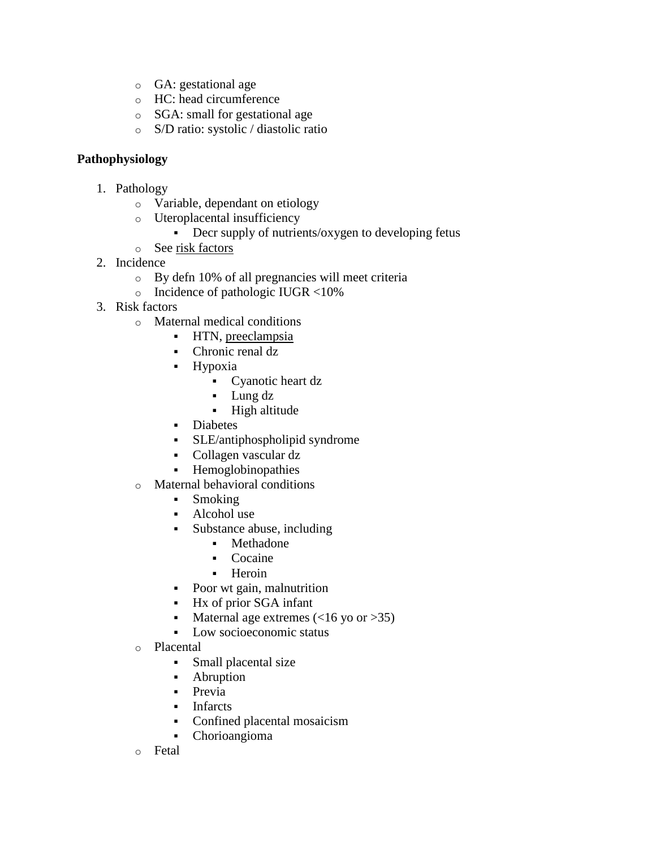- o GA: gestational age
- o HC: head circumference
- o SGA: small for gestational age
- o S/D ratio: systolic / diastolic ratio

### **Pathophysiology**

- 1. Pathology
	- o Variable, dependant on etiology
	- o Uteroplacental insufficiency
		- Decr supply of nutrients/oxygen to developing fetus
	- o See [risk factors](http://www.pepidonline.com/content/content.aspx?url=obg/obg490.htm#risk)
- 2. Incidence
	- o By defn 10% of all pregnancies will meet criteria
	- o Incidence of pathologic IUGR <10%
- 3. Risk factors
	- o Maternal medical conditions
		- **HTN**, [preeclampsia](http://www.pepidonline.com/content/content.aspx?url=obg330.htm)
		- Chronic renal dz
		- Hypoxia
			- Cyanotic heart dz
			- Lung dz
			- **High altitude**
		- **-** Diabetes
		- SLE/antiphospholipid syndrome
		- Collagen vascular dz
		- Hemoglobinopathies
	- o Maternal behavioral conditions
		- Smoking
		- Alcohol use
		- Substance abuse, including
			- Methadone
			- Cocaine
			- **Heroin**
		- Poor wt gain, malnutrition
		- Hx of prior SGA infant
		- Maternal age extremes  $(<16$  yo or  $>35$ )
		- Low socioeconomic status
	- o Placental
		- Small placental size
		- Abruption
		- **Previa**
		- Infarcts
		- Confined placental mosaicism
		- Chorioangioma
	- o Fetal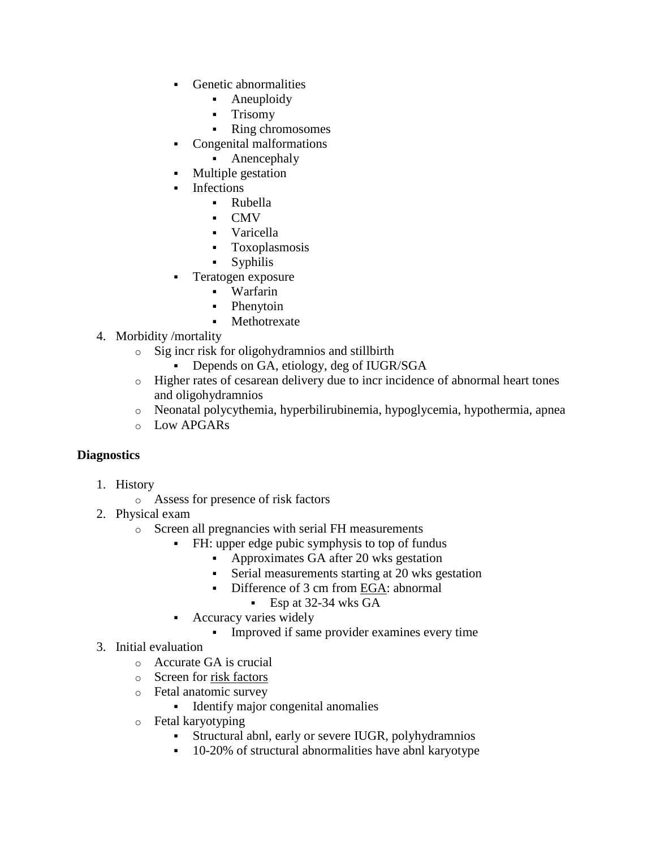- Genetic abnormalities
	- Aneuploidy
	- **Trisomy**
	- Ring chromosomes
- Congenital malformations
	- Anencephaly
- Multiple gestation
- Infections
	- Rubella
	- CMV
	- Varicella
	- Toxoplasmosis
	- Syphilis
- Teratogen exposure
	- Warfarin
	- Phenytoin
	- Methotrexate
- 4. Morbidity /mortality
	- o Sig incr risk for oligohydramnios and stillbirth
		- Depends on GA, etiology, deg of IUGR/SGA
	- o Higher rates of cesarean delivery due to incr incidence of abnormal heart tones and oligohydramnios
	- o Neonatal polycythemia, hyperbilirubinemia, hypoglycemia, hypothermia, apnea
	- o Low APGARs

## **Diagnostics**

- 1. History
	- o Assess for presence of risk factors
- 2. Physical exam
	- o Screen all pregnancies with serial FH measurements
		- FH: upper edge pubic symphysis to top of fundus
			- Approximates GA after 20 wks gestation
			- Serial measurements starting at 20 wks gestation
			- Difference of 3 cm from [EGA:](http://www.pepidonline.com/content/content.aspx?url=obg/obg490.htm#ega) abnormal
				- Esp at 32-34 wks GA
		- Accuracy varies widely
			- Improved if same provider examines every time
- 3. Initial evaluation
	- o Accurate GA is crucial
	- o Screen for [risk factors](http://www.pepidonline.com/content/content.aspx?url=obg/obg490.htm#risk)
	- o Fetal anatomic survey
		- **Identify major congenital anomalies**
	- o Fetal karyotyping
		- Structural abnl, early or severe IUGR, polyhydramnios
		- <sup>•</sup> 10-20% of structural abnormalities have abnl karyotype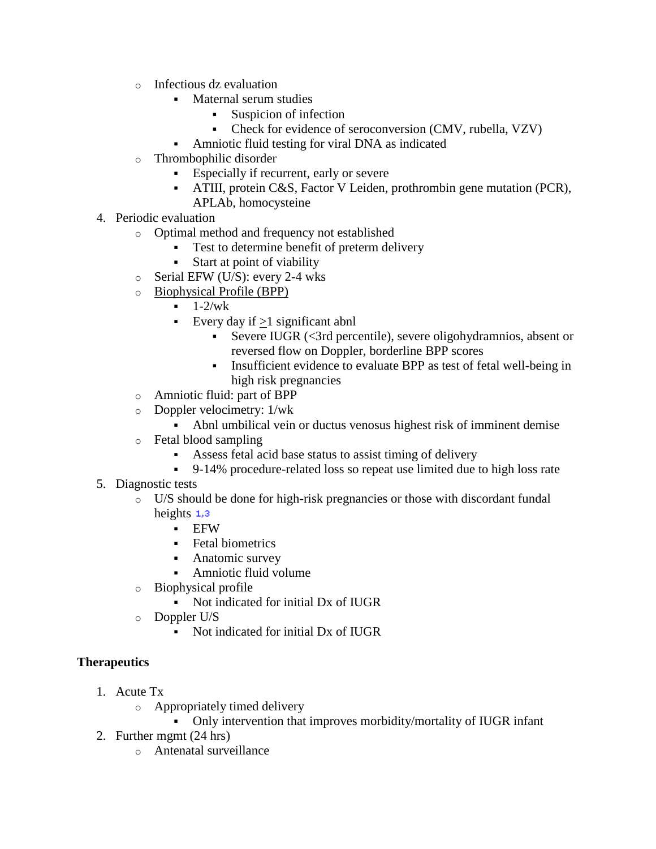- o Infectious dz evaluation
	- Maternal serum studies
		- Suspicion of infection
		- Check for evidence of seroconversion (CMV, rubella, VZV)
	- Amniotic fluid testing for viral DNA as indicated
- o Thrombophilic disorder
	- Especially if recurrent, early or severe
	- ATIII, protein C&S, Factor V Leiden, prothrombin gene mutation (PCR), APLAb, homocysteine
- 4. Periodic evaluation
	- o Optimal method and frequency not established
		- Test to determine benefit of preterm delivery
		- Start at point of viability
	- o Serial EFW (U/S): every 2-4 wks
	- o [Biophysical Profile \(BPP\)](http://www.pepidonline.com/content/content.aspx?url=prg/prg925.htm#bpp)
		- $-1-2/wk$
		- Every day if  $>1$  significant abnl
			- Severe IUGR (<3rd percentile), severe oligohydramnios, absent or reversed flow on Doppler, borderline BPP scores
			- Insufficient evidence to evaluate BPP as test of fetal well-being in high risk pregnancies
	- o Amniotic fluid: part of BPP
	- o Doppler velocimetry: 1/wk
		- Abnl umbilical vein or ductus venosus highest risk of imminent demise
	- o Fetal blood sampling
		- Assess fetal acid base status to assist timing of delivery
		- 9-14% procedure-related loss so repeat use limited due to high loss rate
- 5. Diagnostic tests
	- o U/S should be done for high-risk pregnancies or those with discordant fundal heights  $1,3$ 
		- **EFW**
		- Fetal biometrics
		- **Anatomic survey**
		- Amniotic fluid volume
	- o Biophysical profile
		- Not indicated for initial Dx of IUGR
	- o Doppler U/S
		- Not indicated for initial Dx of IUGR

# **Therapeutics**

- 1. Acute Tx
	- o Appropriately timed delivery
		- Only intervention that improves morbidity/mortality of IUGR infant
- 2. Further mgmt (24 hrs)
	- o Antenatal surveillance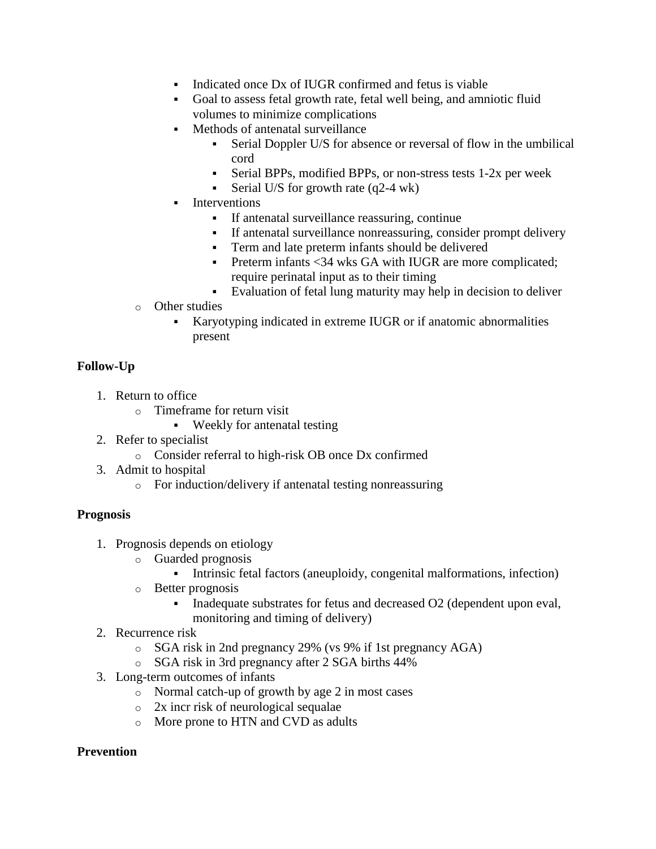- Indicated once Dx of IUGR confirmed and fetus is viable
- Goal to assess fetal growth rate, fetal well being, and amniotic fluid volumes to minimize complications
- Methods of antenatal surveillance
	- Serial Doppler U/S for absence or reversal of flow in the umbilical cord
	- Serial BPPs, modified BPPs, or non-stress tests 1-2x per week
	- Serial U/S for growth rate  $(q2-4)$  wk)
- Interventions
	- If antenatal surveillance reassuring, continue
	- If antenatal surveillance nonreassuring, consider prompt delivery
	- Term and late preterm infants should be delivered
	- Preterm infants <34 wks GA with IUGR are more complicated; require perinatal input as to their timing
	- Evaluation of fetal lung maturity may help in decision to deliver
- o Other studies
	- Karyotyping indicated in extreme IUGR or if anatomic abnormalities present

# **Follow-Up**

- 1. Return to office
	- o Timeframe for return visit
		- Weekly for antenatal testing
- 2. Refer to specialist
	- o Consider referral to high-risk OB once Dx confirmed
- 3. Admit to hospital
	- o For induction/delivery if antenatal testing nonreassuring

## **Prognosis**

- 1. Prognosis depends on etiology
	- o Guarded prognosis
		- Intrinsic fetal factors (aneuploidy, congenital malformations, infection)
	- o Better prognosis
		- Inadequate substrates for fetus and decreased O2 (dependent upon eval,
			- monitoring and timing of delivery)
- 2. Recurrence risk
	- o SGA risk in 2nd pregnancy 29% (vs 9% if 1st pregnancy AGA)
	- o SGA risk in 3rd pregnancy after 2 SGA births 44%
- 3. Long-term outcomes of infants
	- o Normal catch-up of growth by age 2 in most cases
	- o 2x incr risk of neurological sequalae
	- o More prone to HTN and CVD as adults

# **Prevention**